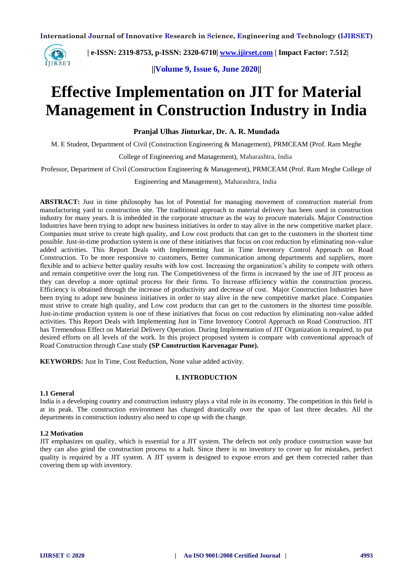

 **| e-ISSN: 2319-8753, p-ISSN: 2320-6710| [www.ijirset.com](http://www.ijirset.com/) | Impact Factor: 7.512|**

**||Volume 9, Issue 6, June 2020||** 

# **Effective Implementation on JIT for Material Management in Construction Industry in India**

**Pranjal Ulhas Jinturkar, Dr. A. R. Mundada**

M. E Student, Department of Civil (Construction Engineering & Management), PRMCEAM (Prof. Ram Meghe

College of Engineering and Management), Maharashtra, India

Professor, Department of Civil (Construction Engineering & Management), PRMCEAM (Prof. Ram Meghe College of

Engineering and Management), Maharashtra, India

**ABSTRACT:** Just in time philosophy has lot of Potential for managing movement of construction material from manufacturing yard to construction site. The traditional approach to material delivery has been used in construction industry for many years. It is imbedded in the corporate structure as the way to procure materials. Major Construction Industries have been trying to adopt new business initiatives in order to stay alive in the new competitive market place. Companies must strive to create high quality, and Low cost products that can get to the customers in the shortest time possible. Just-in-time production system is one of these initiatives that focus on cost reduction by eliminating non-value added activities. This Report Deals with Implementing Just in Time Inventory Control Approach on Road Construction. To be more responsive to customers, Better communication among departments and suppliers, more flexible and to achieve better quality results with low cost. Increasing the organization's ability to compete with others and remain competitive over the long run. The Competitiveness of the firms is increased by the use of JIT process as they can develop a more optimal process for their firms. To Increase efficiency within the construction process. Efficiency is obtained through the increase of productivity and decrease of cost. Major Construction Industries have been trying to adopt new business initiatives in order to stay alive in the new competitive market place. Companies must strive to create high quality, and Low cost products that can get to the customers in the shortest time possible. Just-in-time production system is one of these initiatives that focus on cost reduction by eliminating non-value added activities. This Report Deals with Implementing Just in Time Inventory Control Approach on Road Construction. JIT has Tremendous Effect on Material Delivery Operation. During Implementation of JIT Organization is required, to put desired efforts on all levels of the work. In this project proposed system is compare with conventional approach of Road Construction through Case study **(SP Construction Karvenagar Pune).**

**KEYWORDS:** Just In Time, Cost Reduction, None value added activity.

#### **I. INTRODUCTION**

#### **1.1 General**

India is a developing country and construction industry plays a vital role in its economy. The competition in this field is at its peak. The construction environment has changed drastically over the span of last three decades. All the departments in construction industry also need to cope up with the change.

#### **1.2 Motivation**

JIT emphasizes on quality, which is essential for a JIT system. The defects not only produce construction waste but they can also grind the construction process to a halt. Since there is no inventory to cover up for mistakes, perfect quality is required by a JIT system. A JIT system is designed to expose errors and get them corrected rather than covering them up with inventory.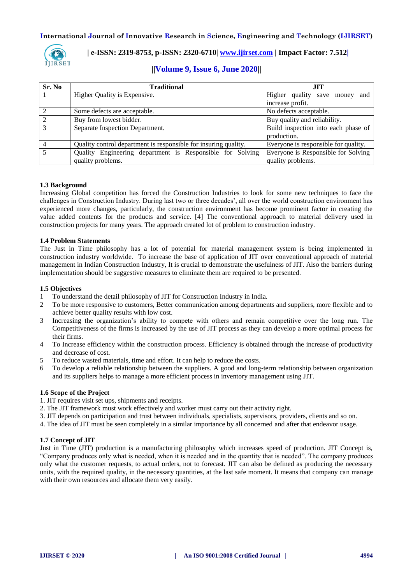

### **| e-ISSN: 2319-8753, p-ISSN: 2320-6710| [www.ijirset.com](http://www.ijirset.com/) | Impact Factor: 7.512|**

### **||Volume 9, Issue 6, June 2020||**

| Sr. No | <b>Traditional</b>                                              | <b>JIT</b>                           |  |  |
|--------|-----------------------------------------------------------------|--------------------------------------|--|--|
|        | Higher Quality is Expensive.                                    | Higher quality save money<br>and     |  |  |
|        |                                                                 | increase profit.                     |  |  |
|        | Some defects are acceptable.                                    | No defects acceptable.               |  |  |
|        | Buy from lowest bidder.                                         | Buy quality and reliability.         |  |  |
| 3      | Separate Inspection Department.                                 | Build inspection into each phase of  |  |  |
|        |                                                                 | production.                          |  |  |
| 4      | Quality control department is responsible for insuring quality. | Everyone is responsible for quality. |  |  |
|        | Quality Engineering department is Responsible for Solving       | Everyone is Responsible for Solving  |  |  |
|        | quality problems.                                               | quality problems.                    |  |  |

#### **1.3 Background**

Increasing Global competition has forced the Construction Industries to look for some new techniques to face the challenges in Construction Industry. During last two or three decades', all over the world construction environment has experienced more changes, particularly, the construction environment has become prominent factor in creating the value added contents for the products and service. [4] The conventional approach to material delivery used in construction projects for many years. The approach created lot of problem to construction industry.

#### **1.4 Problem Statements**

The Just in Time philosophy has a lot of potential for material management system is being implemented in construction industry worldwide. To increase the base of application of JIT over conventional approach of material management in Indian Construction Industry, It is crucial to demonstrate the usefulness of JIT. Also the barriers during implementation should be suggestive measures to eliminate them are required to be presented.

#### **1.5 Objectives**

- 1 To understand the detail philosophy of JIT for Construction Industry in India.
- 2 To be more responsive to customers, Better communication among departments and suppliers, more flexible and to achieve better quality results with low cost.
- 3 Increasing the organization's ability to compete with others and remain competitive over the long run. The Competitiveness of the firms is increased by the use of JIT process as they can develop a more optimal process for their firms.
- 4 To Increase efficiency within the construction process. Efficiency is obtained through the increase of productivity and decrease of cost.
- 5 To reduce wasted materials, time and effort. It can help to reduce the costs.
- 6 To develop a reliable relationship between the suppliers. A good and long-term relationship between organization and its suppliers helps to manage a more efficient process in inventory management using JIT.

#### **1.6 Scope of the Project**

- 1. JIT requires visit set ups, shipments and receipts.
- 2. The JIT framework must work effectively and worker must carry out their activity right.
- 3. JIT depends on participation and trust between individuals, specialists, supervisors, providers, clients and so on.
- 4. The idea of JIT must be seen completely in a similar importance by all concerned and after that endeavor usage.

#### **1.7 Concept of JIT**

Just in Time (JIT) production is a manufacturing philosophy which increases speed of production. JIT Concept is, "Company produces only what is needed, when it is needed and in the quantity that is needed". The company produces only what the customer requests, to actual orders, not to forecast. JIT can also be defined as producing the necessary units, with the required quality, in the necessary quantities, at the last safe moment. It means that company can manage with their own resources and allocate them very easily.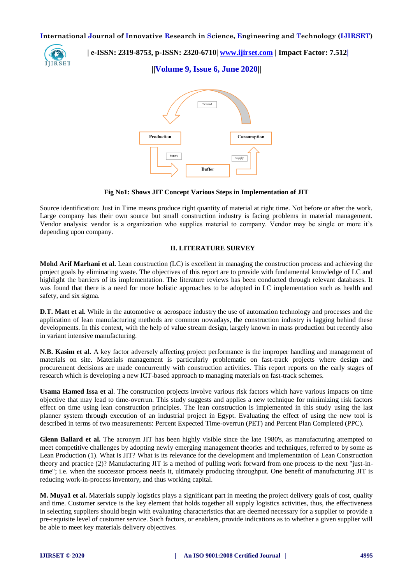

 **| e-ISSN: 2319-8753, p-ISSN: 2320-6710| [www.ijirset.com](http://www.ijirset.com/) | Impact Factor: 7.512|**

**||Volume 9, Issue 6, June 2020||** 



**Fig No1: Shows JIT Concept Various Steps in Implementation of JIT**

Source identification: Just in Time means produce right quantity of material at right time. Not before or after the work. Large company has their own source but small construction industry is facing problems in material management. Vendor analysis: vendor is a organization who supplies material to company. Vendor may be single or more it's depending upon company.

### **II. LITERATURE SURVEY**

**Mohd Arif Marhani et al.** Lean construction (LC) is excellent in managing the construction process and achieving the project goals by eliminating waste. The objectives of this report are to provide with fundamental knowledge of LC and highlight the barriers of its implementation. The literature reviews has been conducted through relevant databases. It was found that there is a need for more holistic approaches to be adopted in LC implementation such as health and safety, and six sigma.

**D.T. Matt et al.** While in the automotive or aerospace industry the use of automation technology and processes and the application of lean manufacturing methods are common nowadays, the construction industry is lagging behind these developments. In this context, with the help of value stream design, largely known in mass production but recently also in variant intensive manufacturing.

**N.B. Kasim et al.** A key factor adversely affecting project performance is the improper handling and management of materials on site. Materials management is particularly problematic on fast-track projects where design and procurement decisions are made concurrently with construction activities. This report reports on the early stages of research which is developing a new ICT-based approach to managing materials on fast-track schemes.

**Usama Hamed Issa et al**. The construction projects involve various risk factors which have various impacts on time objective that may lead to time-overrun. This study suggests and applies a new technique for minimizing risk factors effect on time using lean construction principles. The lean construction is implemented in this study using the last planner system through execution of an industrial project in Egypt. Evaluating the effect of using the new tool is described in terms of two measurements: Percent Expected Time-overrun (PET) and Percent Plan Completed (PPC).

**Glenn Ballard et al.** The acronym JIT has been highly visible since the late 1980's, as manufacturing attempted to meet competitive challenges by adopting newly emerging management theories and techniques, referred to by some as Lean Production (1). What is JIT? What is its relevance for the development and implementation of Lean Construction theory and practice (2)? Manufacturing JIT is a method of pulling work forward from one process to the next "just-intime"; i.e. when the successor process needs it, ultimately producing throughput. One benefit of manufacturing JIT is reducing work-in-process inventory, and thus working capital.

**M. Muya1 et al.** Materials supply logistics plays a significant part in meeting the project delivery goals of cost, quality and time. Customer service is the key element that holds together all supply logistics activities, thus, the effectiveness in selecting suppliers should begin with evaluating characteristics that are deemed necessary for a supplier to provide a pre-requisite level of customer service. Such factors, or enablers, provide indications as to whether a given supplier will be able to meet key materials delivery objectives.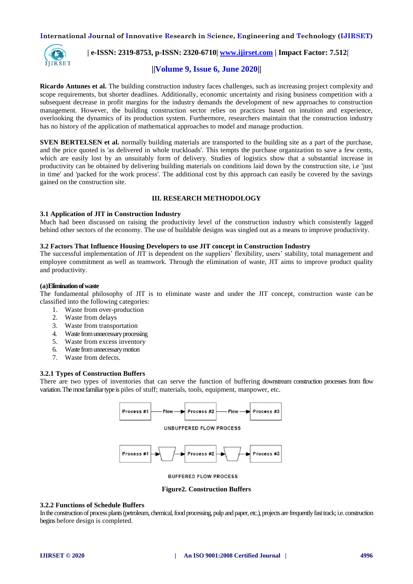

### **| e-ISSN: 2319-8753, p-ISSN: 2320-6710| [www.ijirset.com](http://www.ijirset.com/) | Impact Factor: 7.512|**

#### **||Volume 9, Issue 6, June 2020||**

**Ricardo Antunes et al.** The building construction industry faces challenges, such as increasing project complexity and scope requirements, but shorter deadlines. Additionally, economic uncertainty and rising business competition with a subsequent decrease in profit margins for the industry demands the development of new approaches to construction management. However, the building construction sector relies on practices based on intuition and experience, overlooking the dynamics of its production system. Furthermore, researchers maintain that the construction industry has no history of the application of mathematical approaches to model and manage production.

**SVEN BERTELSEN et al.** normally building materials are transported to the building site as a part of the purchase, and the price quoted is 'as delivered in whole truckloads'. This tempts the purchase organization to save a few cents, which are easily lost by an unsuitably form of delivery. Studies of logistics show that a substantial increase in productivity can be obtained by delivering building materials on conditions laid down by the construction site, i.e 'just in time' and 'packed for the work process'. The additional cost by this approach can easily be covered by the savings gained on the construction site.

#### **III. RESEARCH METHODOLOGY**

#### **3.1 Application of JIT in Construction Industry**

Much had been discussed on raising the productivity level of the construction industry which consistently lagged behind other sectors of the economy. The use of buildable designs was singled out as a means to improve productivity.

#### **3.2 Factors That Influence Housing Developers to use JIT concept in Construction Industry**

The successful implementation of JIT is dependent on the suppliers' flexibility, users' stability, total management and employee commitment as well as teamwork. Through the elimination of waste, JIT aims to improve product quality and productivity.

#### **(a)Eliminationofwaste**

The fundamental philosophy of JIT is to eliminate waste and under the JIT concept, construction waste can be classified into the following categories:

- 1. Waste from over-production
- 2. Waste from delays
- 3. Waste from transportation
- 4. Wastefrom unnecessary processing
- 5. Waste from excess inventory
- 6. Wastefromunnecessarymotion
- 7. Waste from defects.

#### **3.2.1 Types of Construction Buffers**

There are two types of inventories that can serve the function of buffering downstream construction processes from flow variation. The most familiar type is piles of stuff; materials, tools, equipment, manpower, etc.





**BUFFERED FLOW PROCESS** 

#### **Figure2. Construction Buffers**

#### **3.2.2 Functions of Schedule Buffers**

In the construction of process plants (petroleum, chemical, food processing, pulp and paper, etc.), projects are frequently fast track; i.e. construction begins before design is completed.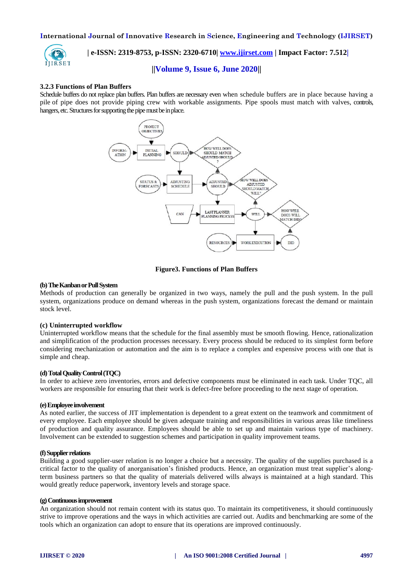

 **| e-ISSN: 2319-8753, p-ISSN: 2320-6710| [www.ijirset.com](http://www.ijirset.com/) | Impact Factor: 7.512|**

#### **||Volume 9, Issue 6, June 2020||**

#### **3.2.3 Functions of Plan Buffers**

Schedule buffers do not replace plan buffers. Plan buffers are necessary even when schedule buffers are in place because having a pile of pipe does not provide piping crew with workable assignments. Pipe spools must match with valves, controls, hangers, etc. Structures for supporting the pipe must be in place.



#### **Figure3. Functions of Plan Buffers**

#### **(b)TheKanbanorPullSystem**

Methods of production can generally be organized in two ways, namely the pull and the push system. In the pull system, organizations produce on demand whereas in the push system, organizations forecast the demand or maintain stock level.

#### **(c) Uninterrupted workflow**

Uninterrupted workflow means that the schedule for the final assembly must be smooth flowing. Hence, rationalization and simplification of the production processes necessary. Every process should be reduced to its simplest form before considering mechanization or automation and the aim is to replace a complex and expensive process with one that is simple and cheap.

#### **(d)TotalQualityControl(TQC)**

In order to achieve zero inventories, errors and defective components must be eliminated in each task. Under TQC, all workers are responsible for ensuring that their work is defect-free before proceeding to the next stage of operation.

#### **(e)Employeeinvolvement**

As noted earlier, the success of JIT implementation is dependent to a great extent on the teamwork and commitment of every employee. Each employee should be given adequate training and responsibilities in various areas like timeliness of production and quality assurance. Employees should be able to set up and maintain various type of machinery. Involvement can be extended to suggestion schemes and participation in quality improvement teams.

#### **(f)Supplierrelations**

Building a good supplier-user relation is no longer a choice but a necessity. The quality of the supplies purchased is a critical factor to the quality of anorganisation's finished products. Hence, an organization must treat supplier's alongterm business partners so that the quality of materials delivered wills always is maintained at a high standard. This would greatly reduce paperwork, inventory levels and storage space.

#### **(g)Continuousimprovement**

An organization should not remain content with its status quo. To maintain its competitiveness, it should continuously strive to improve operations and the ways in which activities are carried out. Audits and benchmarking are some of the tools which an organization can adopt to ensure that its operations are improved continuously.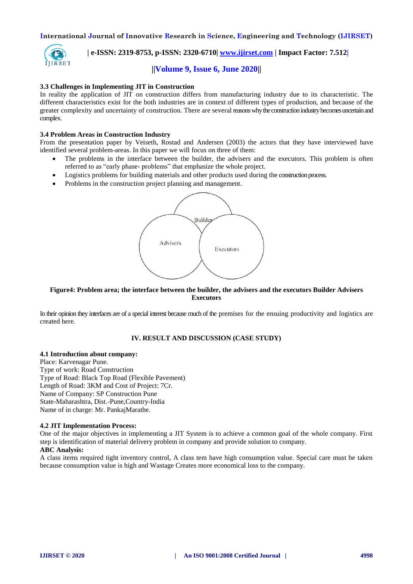

## **| e-ISSN: 2319-8753, p-ISSN: 2320-6710| [www.ijirset.com](http://www.ijirset.com/) | Impact Factor: 7.512|**

#### **||Volume 9, Issue 6, June 2020||**

#### **3.3 Challenges in Implementing JIT in Construction**

In reality the application of JIT on construction differs from manufacturing industry due to its characteristic. The different characteristics exist for the both industries are in context of different types of production, and because of the greater complexity and uncertainty of construction. There are several reasonswhytheconstructionindustrybecomesuncertainand complex.

#### **3.4 Problem Areas in Construction Industry**

From the presentation paper by Veiseth, Rostad and Andersen (2003) the actors that they have interviewed have identified several problem-areas. In this paper we will focus on three of them:

- The problems in the interface between the builder, the advisers and the executors. This problem is often referred to as "early phase- problems" that emphasize the whole project.
- Logistics problems for building materials and other products used during the constructionprocess.
- Problems in the construction project planning and management.



#### **Figure4: Problem area; the interface between the builder, the advisers and the executors Builder Advisers Executors**

In their opinion they interfaces are of a special interest because much of the premises for the ensuing productivity and logistics are created here.

#### **IV. RESULT AND DISCUSSION (CASE STUDY)**

#### **4.1 Introduction about company:**

Place: Karvenagar Pune. Type of work: Road Construction Type of Road: Black Top Road (Flexible Pavement) Length of Road: 3KM and Cost of Project: 7Cr. Name of Company: SP Construction Pune State-Maharashtra, Dist.-Pune,Country-India Name of in charge: Mr. PankajMarathe.

#### **4.2 JIT Implementation Process:**

One of the major objectives in implementing a JIT System is to achieve a common goal of the whole company. First step is identification of material delivery problem in company and provide solution to company. **ABC Analysis:** 

### A class items required tight inventory control, A class tem have high consumption value. Special care must be taken because consumption value is high and Wastage Creates more economical loss to the company.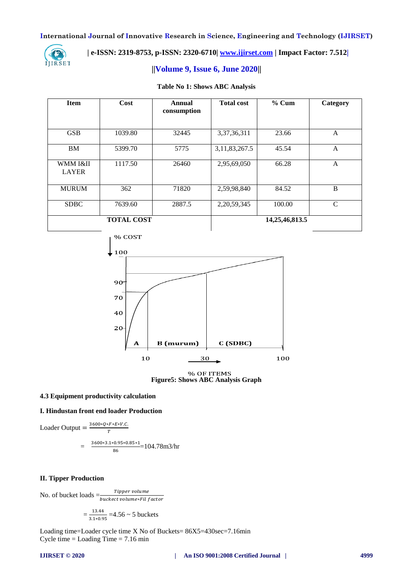

### **| e-ISSN: 2319-8753, p-ISSN: 2320-6710| [www.ijirset.com](http://www.ijirset.com/) | Impact Factor: 7.512|**

#### **||Volume 9, Issue 6, June 2020||**

#### **Table No 1: Shows ABC Analysis**

| <b>Item</b>              | Cost              | Annual<br>consumption | <b>Total cost</b> | $%$ Cum            | Category |
|--------------------------|-------------------|-----------------------|-------------------|--------------------|----------|
| <b>GSB</b>               | 1039.80           | 32445                 | 3,37,36,311       | 23.66              | A        |
| BM                       | 5399.70           | 5775                  | 3, 11, 83, 267. 5 | 45.54              | A        |
| WMM I&II<br><b>LAYER</b> | 1117.50           | 26460                 | 2,95,69,050       | 66.28              | A        |
| <b>MURUM</b>             | 362               | 71820                 | 2,59,98,840       | 84.52              | B        |
| <b>SDBC</b>              | 7639.60           | 2887.5                | 2, 20, 59, 345    | 100.00             | C        |
|                          | <b>TOTAL COST</b> |                       |                   | 14, 25, 46, 813. 5 |          |



% OF ITEMS **Figure5: Shows ABC Analysis Graph**

#### **4.3 Equipment productivity calculation**

#### **I. Hindustan front end loader Production**

Loader Output = 
$$
\frac{3600*Q*F*E*V.C.}{T}
$$
  
= 
$$
\frac{3600*3.1*0.95*0.85*1}{86} = 104.78m3/hr
$$

#### **II. Tipper Production**

No. of bucket loads  $=\frac{T}{buckec}$ 

$$
=\frac{13.44}{3.1*0.95} = 4.56 \sim 5
$$
 buckets

Loading time=Loader cycle time X No of Buckets= 86X5=430sec=7.16min Cycle time  $=$  Loading Time  $=$  7.16 min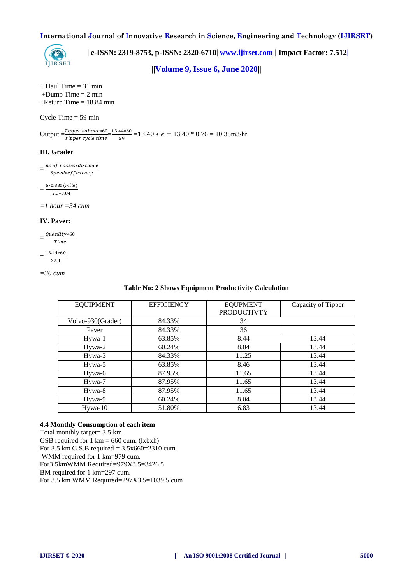

 **| e-ISSN: 2319-8753, p-ISSN: 2320-6710| [www.ijirset.com](http://www.ijirset.com/) | Impact Factor: 7.512|**

**||Volume 9, Issue 6, June 2020||** 

 $+$  Haul Time = 31 min  $+$ Dump Time  $= 2$  min  $+$ Return Time = 18.84 min

Cycle Time  $= 59$  min

 $\text{Output} = \frac{Tipper\,volume*60}{Tipper\,cycle\,time} = \frac{1}{1}$  $\frac{44*60}{59}$  = 13.40  $* e$  = 13.40  $* 0.76$  = 10.38m3/hr

#### **III. Grader**

 $=\frac{n}{2}$ Speed\*efficiency

 $=$  $\frac{6}{5}$  $2.3*0.84$ 

*=1 hour =34 cum*

#### **IV. Paver:**

 $=\frac{Q}{\sqrt{Q}}$  $Time$ 

$$
12.44 \times 6
$$

$$
=\frac{13.44*60}{22.4}
$$

*=36 cum*

**Table No: 2 Shows Equipment Productivity Calculation**

| <b>EQUIPMENT</b>  | <b>EFFICIENCY</b> | <b>EQUPMENT</b><br><b>PRODUCTIVTY</b> | Capacity of Tipper |
|-------------------|-------------------|---------------------------------------|--------------------|
| Volvo-930(Grader) | 84.33%            | 34                                    |                    |
| Paver             | 84.33%            | 36                                    |                    |
| Hywa-1            | 63.85%            | 8.44                                  | 13.44              |
| Hywa-2            | 60.24%            | 8.04                                  | 13.44              |
| Hywa-3            | 84.33%            | 11.25                                 | 13.44              |
| Hywa-5            | 63.85%            | 8.46                                  | 13.44              |
| Hywa-6            | 87.95%            | 11.65                                 | 13.44              |
| Hywa-7            | 87.95%            | 11.65                                 | 13.44              |
| Hywa-8            | 87.95%            | 11.65                                 | 13.44              |
| Hywa-9            | 60.24%            | 8.04                                  | 13.44              |
| $Hywa-10$         | 51.80%            | 6.83                                  | 13.44              |

#### **4.4 Monthly Consumption of each item**

Total monthly target= 3.5 km GSB required for  $1 \text{ km} = 660 \text{ cum.}$  (lxbxh) For 3.5 km G.S.B required = 3.5x660=2310 cum. WMM required for 1 km=979 cum. For3.5kmWMM Required=979X3.5=3426.5 BM required for 1 km=297 cum. For 3.5 km WMM Required=297X3.5=1039.5 cum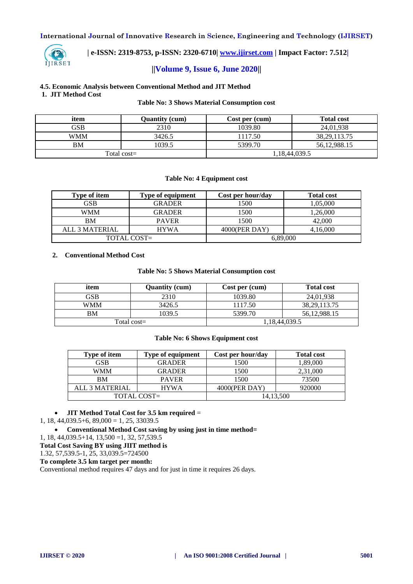

 **| e-ISSN: 2319-8753, p-ISSN: 2320-6710| [www.ijirset.com](http://www.ijirset.com/) | Impact Factor: 7.512|**

#### **||Volume 9, Issue 6, June 2020||**

**4.5. Economic Analysis between Conventional Method and JIT Method 1. JIT Method Cost** 

#### **Table No: 3 Shows Material Consumption cost**

| item       | <b>Ouantity (cum)</b> | Cost per (cum) | <b>Total cost</b> |
|------------|-----------------------|----------------|-------------------|
| GSB        | 2310                  | 1039.80        | 24,01,938         |
| <b>WMM</b> | 3426.5                | 1117.50        | 38, 29, 113. 75   |
| <b>BM</b>  | 1039.5                | 5399.70        | 56, 12, 988. 15   |
|            | Total cost $=$        |                | 1,18,44,039.5     |

#### **Table No: 4 Equipment cost**

| <b>Type of item</b> | Type of equipment | Cost per hour/day | <b>Total cost</b> |
|---------------------|-------------------|-------------------|-------------------|
| GSB                 | <b>GRADER</b>     | 1500              | 1,05,000          |
| WMM                 | <b>GRADER</b>     | 1500              | 1,26,000          |
| <b>BM</b>           | <b>PAVER</b>      | 1500              | 42,000            |
| ALL 3 MATERIAL      | <b>HYWA</b>       | 4000(PER DAY)     | 4,16,000          |
|                     | TOTAL COST=       | 6,89,000          |                   |

#### **2. Conventional Method Cost**

#### **Table No: 5 Shows Material Consumption cost**

| item      | <b>Quantity (cum)</b> | Cost per (cum) | <b>Total cost</b> |
|-----------|-----------------------|----------------|-------------------|
| GSB       | 2310                  | 1039.80        | 24.01.938         |
| WMM       | 3426.5                | 1117.50        | 38.29.113.75      |
| <b>BM</b> | 1039.5                | 5399.70        | 56.12.988.15      |
|           | Total cost=           |                | 1,18,44,039.5     |

#### **Table No: 6 Shows Equipment cost**

| <b>Type of item</b> | Type of equipment | Cost per hour/day | <b>Total cost</b> |
|---------------------|-------------------|-------------------|-------------------|
| GSB                 | GRADER            | 1500              | 1,89,000          |
| WMM                 | GRADER            | 1500              | 2,31,000          |
| BM                  | <b>PAVER</b>      | 1500              | 73500             |
| ALL 3 MATERIAL      | <b>HYWA</b>       | 4000(PER DAY)     | 920000            |
|                     | TOTAL COST=       |                   | 14,13,500         |

#### **JIT Method Total Cost for 3.5 km required** =

 $1, 18, 44, 039.5 + 6, 89, 000 = 1, 25, 33039.5$ 

**Conventional Method Cost saving by using just in time method=**

1, 18, 44,039.5+14, 13,500 =1, 32, 57,539.5

**Total Cost Saving BY using JIIT method is**

1.32, 57,539.5-1, 25, 33,039.5=724500

### **To complete 3.5 km target per month:**

Conventional method requires 47 days and for just in time it requires 26 days.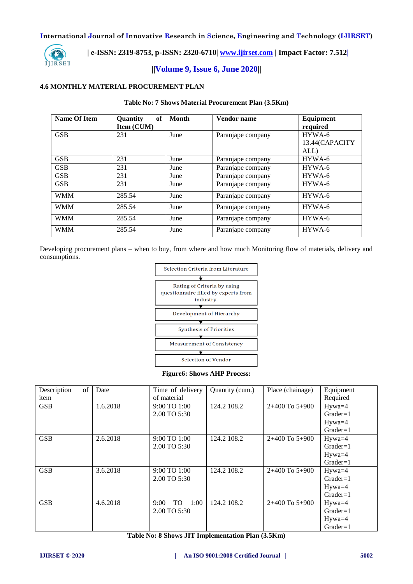

### **| e-ISSN: 2319-8753, p-ISSN: 2320-6710| [www.ijirset.com](http://www.ijirset.com/) | Impact Factor: 7.512|**

### **||Volume 9, Issue 6, June 2020||**

#### **4.6 MONTHLY MATERIAL PROCUREMENT PLAN**

#### **Table No: 7 Shows Material Procurement Plan (3.5Km)**

| Name Of Item | of<br><b>Ouantity</b><br><b>Item (CUM)</b> | Month | Vendor name       | Equipment<br>required |
|--------------|--------------------------------------------|-------|-------------------|-----------------------|
| <b>GSB</b>   | 231                                        | June  | Paranjape company | HYWA-6                |
|              |                                            |       |                   | 13.44(CAPACITY        |
|              |                                            |       |                   | ALL)                  |
| <b>GSB</b>   | 231                                        | June  | Paranjape company | HYWA-6                |
| <b>GSB</b>   | 231                                        | June  | Paranjape company | HYWA-6                |
| <b>GSB</b>   | 231                                        | June  | Paranjape company | HYWA-6                |
| <b>GSB</b>   | 231                                        | June  | Paranjape company | HYWA-6                |
| <b>WMM</b>   | 285.54                                     | June  | Paranjape company | HYWA-6                |
| <b>WMM</b>   | 285.54                                     | June  | Paranjape company | HYWA-6                |
| <b>WMM</b>   | 285.54                                     | June  | Paranjape company | HYWA-6                |
| <b>WMM</b>   | 285.54                                     | June  | Paranjape company | HYWA-6                |

Developing procurement plans – when to buy, from where and how much Monitoring flow of materials, delivery and consumptions.



**Figure6: Shows AHP Process:**

| Description<br>of | Date     | Time of delivery         | Quantity (cum.) | Place (chainage)   | Equipment   |
|-------------------|----------|--------------------------|-----------------|--------------------|-------------|
| item              |          | of material              |                 |                    | Required    |
| <b>GSB</b>        | 1.6.2018 | 9:00 TO 1:00             | 124.2 108.2     | $2+400$ To $5+900$ | Hywa=4      |
|                   |          | 2.00 TO 5:30             |                 |                    | $Grade = 1$ |
|                   |          |                          |                 |                    | $Hywa=4$    |
|                   |          |                          |                 |                    | $Grade = 1$ |
| <b>GSB</b>        | 2.6.2018 | 9:00 TO 1:00             | 124.2 108.2     | $2+400$ To $5+900$ | $Hywa=4$    |
|                   |          | 2.00 TO 5:30             |                 |                    | $Grade = 1$ |
|                   |          |                          |                 |                    | $Hywa=4$    |
|                   |          |                          |                 |                    | $Grade = 1$ |
| <b>GSB</b>        | 3.6.2018 | 9:00 TO 1:00             | 124.2 108.2     | $2+400$ To $5+900$ | $Hywa=4$    |
|                   |          | 2.00 TO 5:30             |                 |                    | $Grade = 1$ |
|                   |          |                          |                 |                    | $Hywa=4$    |
|                   |          |                          |                 |                    | $Grade = 1$ |
| <b>GSB</b>        | 4.6.2018 | TO<br>1:00<br>$9:00^{-}$ | 124.2 108.2     | $2+400$ To $5+900$ | $Hywa=4$    |
|                   |          | 2.00 TO 5:30             |                 |                    | $Grade = 1$ |
|                   |          |                          |                 |                    | Hywa=4      |
|                   |          |                          |                 |                    | $Grade = 1$ |

**Table No: 8 Shows JIT Implementation Plan (3.5Km)**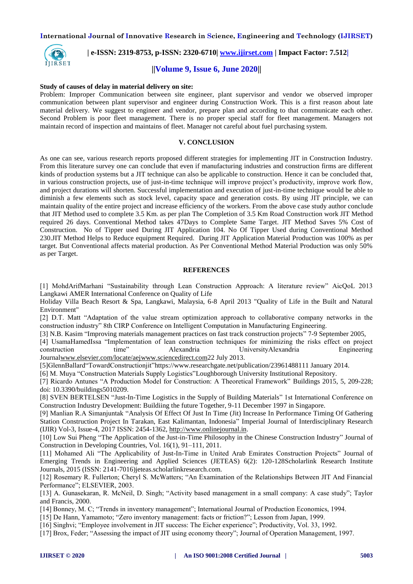

### **| e-ISSN: 2319-8753, p-ISSN: 2320-6710| [www.ijirset.com](http://www.ijirset.com/) | Impact Factor: 7.512|**

#### **||Volume 9, Issue 6, June 2020||**

#### **Study of causes of delay in material delivery on site:**

Problem: Improper Communication between site engineer, plant supervisor and vendor we observed improper communication between plant supervisor and engineer during Construction Work. This is a first reason about late material delivery. We suggest to engineer and vendor, prepare plan and according to that communicate each other. Second Problem is poor fleet management. There is no proper special staff for fleet management. Managers not maintain record of inspection and maintains of fleet. Manager not careful about fuel purchasing system.

#### **V. CONCLUSION**

As one can see, various research reports proposed different strategies for implementing JIT in Construction Industry. From this literature survey one can conclude that even if manufacturing industries and construction firms are different kinds of production systems but a JIT technique can also be applicable to construction. Hence it can be concluded that, in various construction projects, use of just-in-time technique will improve project's productivity, improve work flow, and project durations will shorten. Successful implementation and execution of just-in-time technique would be able to diminish a few elements such as stock level, capacity space and generation costs. By using JIT principle, we can maintain quality of the entire project and increase efficiency of the workers. From the above case study author conclude that JIT Method used to complete 3.5 Km. as per plan The Completion of 3.5 Km Road Construction work JIT Method required 26 days. Conventional Method takes 47Days to Complete Same Target. JIT Method Saves 5% Cost of Construction. No of Tipper used During JIT Application 104. No Of Tipper Used during Conventional Method 230.JIT Method Helps to Reduce equipment Required. During JIT Application Material Production was 100% as per target. But Conventional affects material production. As Per Conventional Method Material Production was only 50% as per Target.

#### **REFERENCES**

[1] MohdArifMarhani "Sustainability through Lean Construction Approach: A literature review" AicQoL 2013 Langkawi AMER International Conference on Quality of Life

Holiday Villa Beach Resort & Spa, Langkawi, Malaysia, 6-8 April 2013 "Quality of Life in the Built and Natural Environment"

[2] D.T. Matt "Adaptation of the value stream optimization approach to collaborative company networks in the construction industry" 8th CIRP Conference on Intelligent Computation in Manufacturing Engineering.

[3] N.B. Kasim "Improving materials management practices on fast track construction projects" 7-9 September 2005,

[4] UsamaHamedIssa "Implementation of lean construction techniques for minimizing the risks effect on project construction time" Alexandria UniversityAlexandria Engineering Journa[lwww.elsevier.com/locate/aejwww.sciencedirect.com2](http://www.elsevier.com/locate/aej)2 July 2013.

[5]GlennBallard"TowardConstructionjit"https://www.researchgate.net/publication/23961488111 January 2014.

[6] M. Muya "Construction Materials Supply Logistics"Loughborough University Institutional Repository.

[7] Ricardo Antunes "A Production Model for Construction: A Theoretical Framework" Buildings 2015, 5, 209-228; doi: 10.3390/buildings5010209.

[8] SVEN BERTELSEN "Just-In-Time Logistics in the Supply of Building Materials" 1st International Conference on Construction Industry Development: Buildiing the future Together, 9-11 December 1997 in Singapore.

[9] Manlian R.A Simanjuntak "Analysis Of Effect Of Just In Time (Jit) Increase In Performance Timing Of Gathering Station Construction Project In Tarakan, East Kalimantan, Indonesia" Imperial Journal of Interdisciplinary Research (IJIR) Vol-3, Issue-4, 2017 ISSN: 2454-1362, [http://www.onlinejournal.in.](http://www.onlinejournal.in/)

[10] Low Sui Pheng "The Application of the Just-in-Time Philosophy in the Chinese Construction Industry" Journal of Construction in Developing Countries, Vol. 16(1), 91–111, 2011.

[11] Mohamed Ali "The Applicability of Just-In-Time in United Arab Emirates Construction Projects" Journal of Emerging Trends in Engineering and Applied Sciences (JETEAS) 6(2): 120-128Scholarlink Research Institute Journals, 2015 (ISSN: 2141-7016)jeteas.scholarlinkresearch.com.

[12] Rosemary R. Fullerton; Cheryl S. McWatters; "An Examination of the Relationships Between JIT And Financial Performance"; ELSEVIER, 2003.

[13] A. Gunasekaran, R. McNeil, D. Singh; "Activity based management in a small company: A case study"; Taylor and Francis, 2000.

[14] Bonney, M. C; "Trends in inventory management"; International Journal of Production Economics, 1994.

[15] De Hann, Yamamoto; "Zero inventory management: facts or friction?"; Lesson from Japan, 1999.

[16] Singhvi; "Employee involvement in JIT success: The Eicher experience"; Productivity, Vol. 33, 1992.

[17] Brox, Feder; "Assessing the impact of JIT using economy theory"; Journal of Operation Management, 1997.